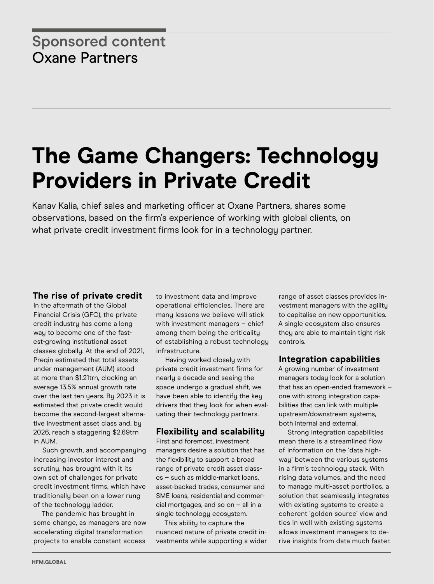## **Sponsored content** Oxane Partners

# **The Game Changers: Technology Providers in Private Credit**

Kanav Kalia, chief sales and marketing officer at Oxane Partners, shares some observations, based on the firm's experience of working with global clients, on what private credit investment firms look for in a technology partner.

### **The rise of private credit**

In the aftermath of the Global Financial Crisis (GFC), the private credit industry has come a long way to become one of the fastest-growing institutional asset classes globally. At the end of 2021, Preqin estimated that total assets under management (AUM) stood at more than \$1.21trn, clocking an average 13.5% annual growth rate over the last ten years. By 2023 it is estimated that private credit would become the second-largest alternative investment asset class and, by 2026, reach a staggering \$2.69trn in AUM.

Such growth, and accompanying increasing investor interest and scrutiny, has brought with it its own set of challenges for private credit investment firms, which have traditionally been on a lower rung of the technology ladder.

The pandemic has brought in some change, as managers are now accelerating digital transformation projects to enable constant access

to investment data and improve operational efficiencies. There are many lessons we believe will stick with investment managers – chief among them being the criticality of establishing a robust technology infrastructure.

Having worked closely with private credit investment firms for nearly a decade and seeing the space undergo a gradual shift, we have been able to identify the key drivers that they look for when evaluating their technology partners.

### **Flexibility and scalability**

First and foremost, investment managers desire a solution that has the flexibility to support a broad range of private credit asset classes – such as middle-market loans, asset-backed trades, consumer and SME loans, residential and commercial mortgages, and so on – all in a single technology ecosystem.

This ability to capture the nuanced nature of private credit investments while supporting a wider range of asset classes provides investment managers with the agility to capitalise on new opportunities. A single ecosystem also ensures they are able to maintain tight risk controls.

### **Integration capabilities**

A growing number of investment managers today look for a solution that has an open-ended framework – one with strong integration capabilities that can link with multiple upstream/downstream systems, both internal and external.

Strong integration capabilities mean there is a streamlined flow of information on the 'data highway' between the various systems in a firm's technology stack. With rising data volumes, and the need to manage multi-asset portfolios, a solution that seamlessly integrates with existing systems to create a coherent 'golden source' view and ties in well with existing systems allows investment managers to derive insights from data much faster.